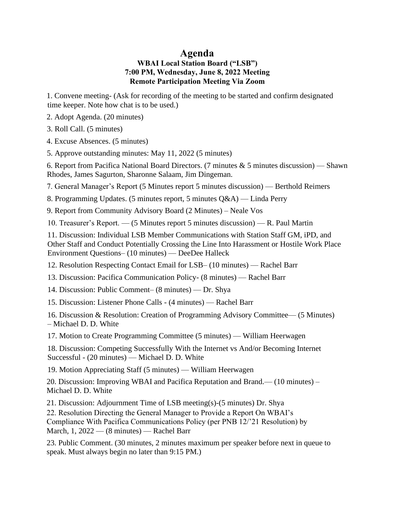## **Agenda WBAI Local Station Board ("LSB") 7:00 PM, Wednesday, June 8, 2022 Meeting Remote Participation Meeting Via Zoom**

1. Convene meeting- (Ask for recording of the meeting to be started and confirm designated time keeper. Note how chat is to be used.)

2. Adopt Agenda. (20 minutes)

3. Roll Call. (5 minutes)

4. Excuse Absences. (5 minutes)

5. Approve outstanding minutes: May 11, 2022 (5 minutes)

6. Report from Pacifica National Board Directors. (7 minutes  $\&$  5 minutes discussion) — Shawn Rhodes, James Sagurton, Sharonne Salaam, Jim Dingeman.

7. General Manager's Report (5 Minutes report 5 minutes discussion) — Berthold Reimers

8. Programming Updates. (5 minutes report, 5 minutes Q&A) — Linda Perry

9. Report from Community Advisory Board (2 Minutes) – Neale Vos

10. Treasurer's Report. — (5 Minutes report 5 minutes discussion) — R. Paul Martin

11. Discussion: Individual LSB Member Communications with Station Staff GM, iPD, and Other Staff and Conduct Potentially Crossing the Line Into Harassment or Hostile Work Place Environment Questions– (10 minutes) — DeeDee Halleck

12. Resolution Respecting Contact Email for LSB– (10 minutes) — Rachel Barr

13. Discussion: Pacifica Communication Policy- (8 minutes) — Rachel Barr

14. Discussion: Public Comment– (8 minutes) — Dr. Shya

15. Discussion: Listener Phone Calls - (4 minutes) — Rachel Barr

16. Discussion & Resolution: Creation of Programming Advisory Committee— (5 Minutes) – Michael D. D. White

17. Motion to Create Programming Committee (5 minutes) — William Heerwagen

18. Discussion: Competing Successfully With the Internet vs And/or Becoming Internet Successful - (20 minutes) — Michael D. D. White

19. Motion Appreciating Staff (5 minutes) — William Heerwagen

20. Discussion: Improving WBAI and Pacifica Reputation and Brand.— (10 minutes) – Michael D. D. White

21. Discussion: Adjournment Time of LSB meeting(s)-(5 minutes) Dr. Shya 22. Resolution Directing the General Manager to Provide a Report On WBAI's Compliance With Pacifica Communications Policy (per PNB 12/'21 Resolution) by March, 1, 2022 — (8 minutes) — Rachel Barr

23. Public Comment. (30 minutes, 2 minutes maximum per speaker before next in queue to speak. Must always begin no later than 9:15 PM.)